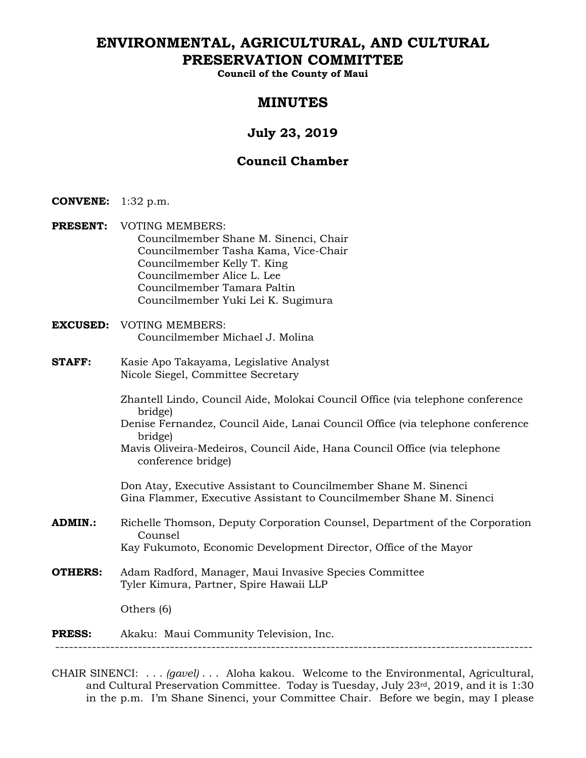# **ENVIRONMENTAL, AGRICULTURAL, AND CULTURAL PRESERVATION COMMITTEE**

**Council of the County of Maui** 

## **MINUTES**

# **July 23, 2019**

## **Council Chamber**

- **CONVENE:** 1:32 p.m.
- **PRESENT:** VOTING MEMBERS: Councilmember Shane M. Sinenci, Chair Councilmember Tasha Kama, Vice-Chair Councilmember Kelly T. King Councilmember Alice L. Lee Councilmember Tamara Paltin Councilmember Yuki Lei K. Sugimura
- **EXCUSED:** VOTING MEMBERS: Councilmember Michael J. Molina
- **STAFF:** Kasie Apo Takayama, Legislative Analyst Nicole Siegel, Committee Secretary
	- Zhantell Lindo, Council Aide, Molokai Council Office (via telephone conference bridge)
	- Denise Fernandez, Council Aide, Lanai Council Office (via telephone conference bridge)
	- Mavis Oliveira-Medeiros, Council Aide, Hana Council Office (via telephone conference bridge)

Don Atay, Executive Assistant to Councilmember Shane M. Sinenci Gina Flammer, Executive Assistant to Councilmember Shane M. Sinenci

- **ADMIN.:** Richelle Thomson, Deputy Corporation Counsel, Department of the Corporation Counsel Kay Fukumoto, Economic Development Director, Office of the Mayor
- **OTHERS:** Adam Radford, Manager, Maui Invasive Species Committee Tyler Kimura, Partner, Spire Hawaii LLP

Others (6)

## **PRESS:** Akaku: Maui Community Television, Inc.

--------------------------------------------------------------------------------------------------------

CHAIR SINENCI: . . . *(gavel)* . . . Aloha kakou. Welcome to the Environmental, Agricultural, and Cultural Preservation Committee. Today is Tuesday, July 23rd, 2019, and it is 1:30 in the p.m. I'm Shane Sinenci, your Committee Chair. Before we begin, may I please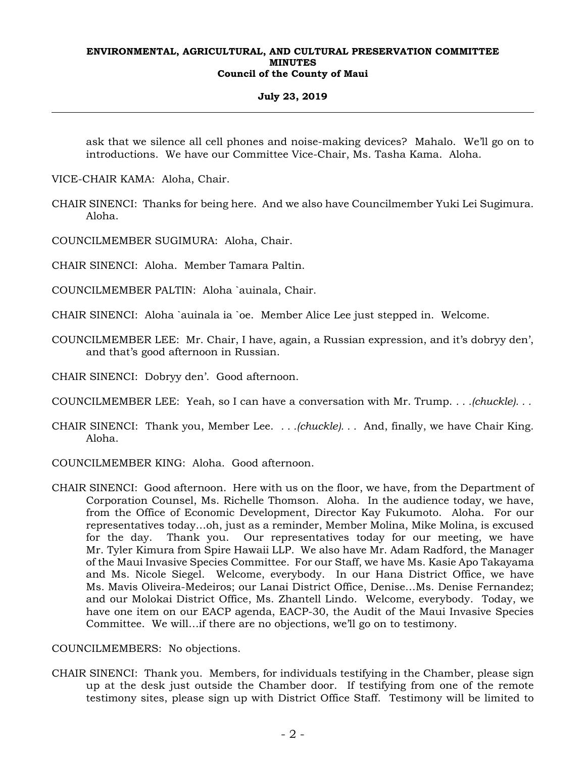#### **July 23, 2019**

ask that we silence all cell phones and noise-making devices? Mahalo. We'll go on to introductions. We have our Committee Vice-Chair, Ms. Tasha Kama. Aloha.

VICE-CHAIR KAMA: Aloha, Chair.

CHAIR SINENCI: Thanks for being here. And we also have Councilmember Yuki Lei Sugimura. Aloha.

COUNCILMEMBER SUGIMURA: Aloha, Chair.

CHAIR SINENCI: Aloha. Member Tamara Paltin.

COUNCILMEMBER PALTIN: Aloha `auinala, Chair.

CHAIR SINENCI: Aloha `auinala ia `oe. Member Alice Lee just stepped in. Welcome.

COUNCILMEMBER LEE: Mr. Chair, I have, again, a Russian expression, and it's dobryy den', and that's good afternoon in Russian.

CHAIR SINENCI: Dobryy den'. Good afternoon.

COUNCILMEMBER LEE: Yeah, so I can have a conversation with Mr. Trump. *. . .(chuckle). . .*

- CHAIR SINENCI: Thank you, Member Lee. *. . .(chuckle). . .* And, finally, we have Chair King. Aloha.
- COUNCILMEMBER KING: Aloha. Good afternoon.
- CHAIR SINENCI: Good afternoon. Here with us on the floor, we have, from the Department of Corporation Counsel, Ms. Richelle Thomson. Aloha. In the audience today, we have, from the Office of Economic Development, Director Kay Fukumoto. Aloha. For our representatives today…oh, just as a reminder, Member Molina, Mike Molina, is excused for the day. Thank you. Our representatives today for our meeting, we have Mr. Tyler Kimura from Spire Hawaii LLP. We also have Mr. Adam Radford, the Manager of the Maui Invasive Species Committee. For our Staff, we have Ms. Kasie Apo Takayama and Ms. Nicole Siegel. Welcome, everybody. In our Hana District Office, we have Ms. Mavis Oliveira-Medeiros; our Lanai District Office, Denise…Ms. Denise Fernandez; and our Molokai District Office, Ms. Zhantell Lindo. Welcome, everybody. Today, we have one item on our EACP agenda, EACP-30, the Audit of the Maui Invasive Species Committee. We will…if there are no objections, we'll go on to testimony.

COUNCILMEMBERS: No objections.

CHAIR SINENCI: Thank you. Members, for individuals testifying in the Chamber, please sign up at the desk just outside the Chamber door. If testifying from one of the remote testimony sites, please sign up with District Office Staff. Testimony will be limited to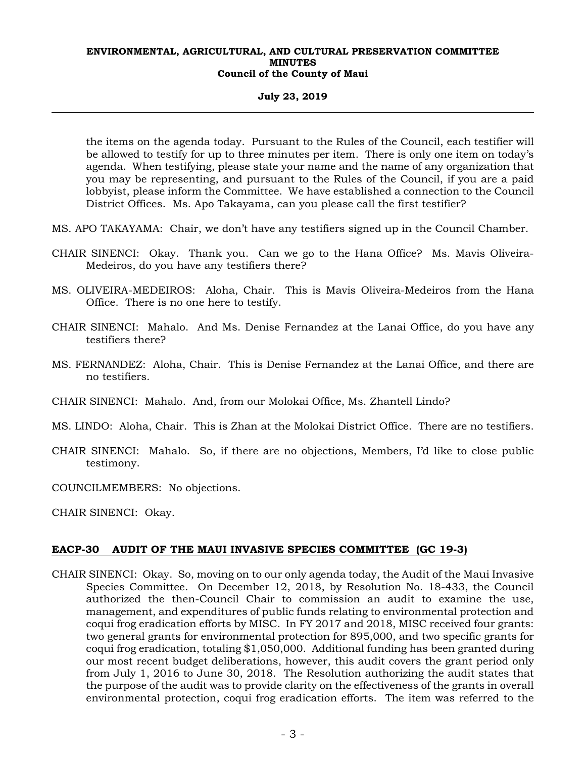#### **July 23, 2019**

the items on the agenda today. Pursuant to the Rules of the Council, each testifier will be allowed to testify for up to three minutes per item. There is only one item on today's agenda. When testifying, please state your name and the name of any organization that you may be representing, and pursuant to the Rules of the Council, if you are a paid lobbyist, please inform the Committee. We have established a connection to the Council District Offices. Ms. Apo Takayama, can you please call the first testifier?

MS. APO TAKAYAMA: Chair, we don't have any testifiers signed up in the Council Chamber.

- CHAIR SINENCI: Okay. Thank you. Can we go to the Hana Office? Ms. Mavis Oliveira-Medeiros, do you have any testifiers there?
- MS. OLIVEIRA-MEDEIROS: Aloha, Chair. This is Mavis Oliveira-Medeiros from the Hana Office. There is no one here to testify.
- CHAIR SINENCI: Mahalo. And Ms. Denise Fernandez at the Lanai Office, do you have any testifiers there?
- MS. FERNANDEZ: Aloha, Chair. This is Denise Fernandez at the Lanai Office, and there are no testifiers.
- CHAIR SINENCI: Mahalo. And, from our Molokai Office, Ms. Zhantell Lindo?
- MS. LINDO: Aloha, Chair. This is Zhan at the Molokai District Office. There are no testifiers.
- CHAIR SINENCI: Mahalo. So, if there are no objections, Members, I'd like to close public testimony.
- COUNCILMEMBERS: No objections.
- CHAIR SINENCI: Okay.

## **EACP-30 AUDIT OF THE MAUI INVASIVE SPECIES COMMITTEE (GC 19-3)**

CHAIR SINENCI: Okay. So, moving on to our only agenda today, the Audit of the Maui Invasive Species Committee. On December 12, 2018, by Resolution No. 18-433, the Council authorized the then-Council Chair to commission an audit to examine the use, management, and expenditures of public funds relating to environmental protection and coqui frog eradication efforts by MISC. In FY 2017 and 2018, MISC received four grants: two general grants for environmental protection for 895,000, and two specific grants for coqui frog eradication, totaling \$1,050,000. Additional funding has been granted during our most recent budget deliberations, however, this audit covers the grant period only from July 1, 2016 to June 30, 2018. The Resolution authorizing the audit states that the purpose of the audit was to provide clarity on the effectiveness of the grants in overall environmental protection, coqui frog eradication efforts. The item was referred to the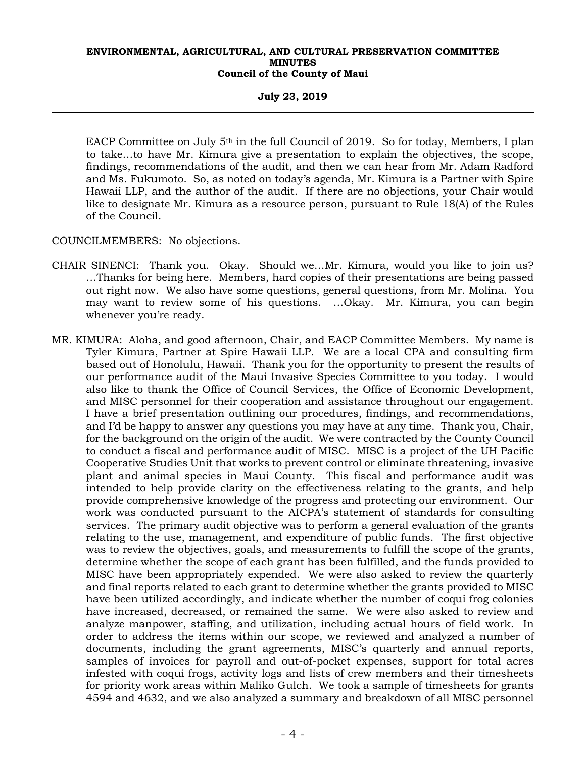#### **July 23, 2019**

EACP Committee on July 5<sup>th</sup> in the full Council of 2019. So for today, Members, I plan to take…to have Mr. Kimura give a presentation to explain the objectives, the scope, findings, recommendations of the audit, and then we can hear from Mr. Adam Radford and Ms. Fukumoto. So, as noted on today's agenda, Mr. Kimura is a Partner with Spire Hawaii LLP, and the author of the audit. If there are no objections, your Chair would like to designate Mr. Kimura as a resource person, pursuant to Rule 18(A) of the Rules of the Council.

COUNCILMEMBERS: No objections.

- CHAIR SINENCI: Thank you. Okay. Should we…Mr. Kimura, would you like to join us? …Thanks for being here. Members, hard copies of their presentations are being passed out right now. We also have some questions, general questions, from Mr. Molina. You may want to review some of his questions. …Okay. Mr. Kimura, you can begin whenever you're ready.
- MR. KIMURA: Aloha, and good afternoon, Chair, and EACP Committee Members. My name is Tyler Kimura, Partner at Spire Hawaii LLP. We are a local CPA and consulting firm based out of Honolulu, Hawaii. Thank you for the opportunity to present the results of our performance audit of the Maui Invasive Species Committee to you today. I would also like to thank the Office of Council Services, the Office of Economic Development, and MISC personnel for their cooperation and assistance throughout our engagement. I have a brief presentation outlining our procedures, findings, and recommendations, and I'd be happy to answer any questions you may have at any time. Thank you, Chair, for the background on the origin of the audit. We were contracted by the County Council to conduct a fiscal and performance audit of MISC. MISC is a project of the UH Pacific Cooperative Studies Unit that works to prevent control or eliminate threatening, invasive plant and animal species in Maui County. This fiscal and performance audit was intended to help provide clarity on the effectiveness relating to the grants, and help provide comprehensive knowledge of the progress and protecting our environment. Our work was conducted pursuant to the AICPA's statement of standards for consulting services. The primary audit objective was to perform a general evaluation of the grants relating to the use, management, and expenditure of public funds. The first objective was to review the objectives, goals, and measurements to fulfill the scope of the grants, determine whether the scope of each grant has been fulfilled, and the funds provided to MISC have been appropriately expended. We were also asked to review the quarterly and final reports related to each grant to determine whether the grants provided to MISC have been utilized accordingly, and indicate whether the number of coqui frog colonies have increased, decreased, or remained the same. We were also asked to review and analyze manpower, staffing, and utilization, including actual hours of field work. In order to address the items within our scope, we reviewed and analyzed a number of documents, including the grant agreements, MISC's quarterly and annual reports, samples of invoices for payroll and out-of-pocket expenses, support for total acres infested with coqui frogs, activity logs and lists of crew members and their timesheets for priority work areas within Maliko Gulch. We took a sample of timesheets for grants 4594 and 4632, and we also analyzed a summary and breakdown of all MISC personnel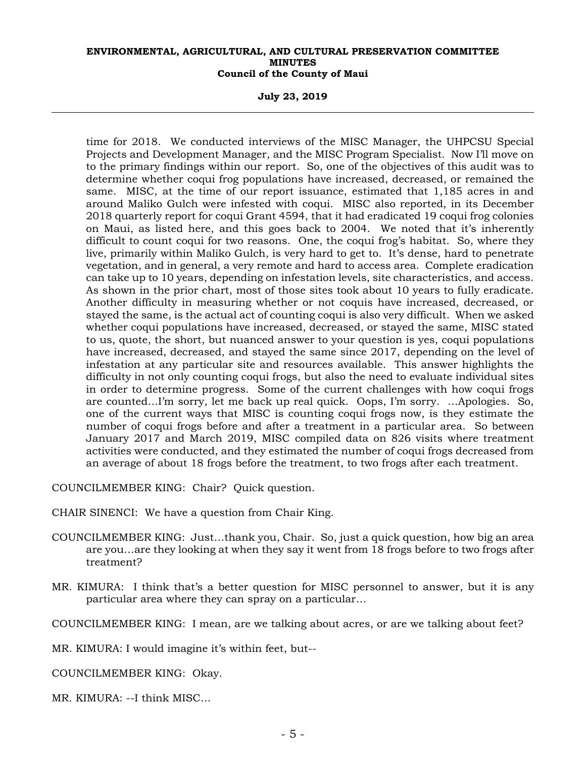**July 23, 2019** 

time for 2018. We conducted interviews of the MISC Manager, the UHPCSU Special Projects and Development Manager, and the MISC Program Specialist. Now I'll move on to the primary findings within our report. So, one of the objectives of this audit was to determine whether coqui frog populations have increased, decreased, or remained the same. MISC, at the time of our report issuance, estimated that 1,185 acres in and around Maliko Gulch were infested with coqui. MISC also reported, in its December 2018 quarterly report for coqui Grant 4594, that it had eradicated 19 coqui frog colonies on Maui, as listed here, and this goes back to 2004. We noted that it's inherently difficult to count coqui for two reasons. One, the coqui frog's habitat. So, where they live, primarily within Maliko Gulch, is very hard to get to. It's dense, hard to penetrate vegetation, and in general, a very remote and hard to access area. Complete eradication can take up to 10 years, depending on infestation levels, site characteristics, and access. As shown in the prior chart, most of those sites took about 10 years to fully eradicate. Another difficulty in measuring whether or not coquis have increased, decreased, or stayed the same, is the actual act of counting coqui is also very difficult. When we asked whether coqui populations have increased, decreased, or stayed the same, MISC stated to us, quote, the short, but nuanced answer to your question is yes, coqui populations have increased, decreased, and stayed the same since 2017, depending on the level of infestation at any particular site and resources available. This answer highlights the difficulty in not only counting coqui frogs, but also the need to evaluate individual sites in order to determine progress. Some of the current challenges with how coqui frogs are counted…I'm sorry, let me back up real quick. Oops, I'm sorry. …Apologies. So, one of the current ways that MISC is counting coqui frogs now, is they estimate the number of coqui frogs before and after a treatment in a particular area. So between January 2017 and March 2019, MISC compiled data on 826 visits where treatment activities were conducted, and they estimated the number of coqui frogs decreased from an average of about 18 frogs before the treatment, to two frogs after each treatment.

COUNCILMEMBER KING: Chair? Quick question.

CHAIR SINENCI: We have a question from Chair King.

- COUNCILMEMBER KING: Just…thank you, Chair. So, just a quick question, how big an area are you…are they looking at when they say it went from 18 frogs before to two frogs after treatment?
- MR. KIMURA: I think that's a better question for MISC personnel to answer, but it is any particular area where they can spray on a particular…

COUNCILMEMBER KING: I mean, are we talking about acres, or are we talking about feet?

MR. KIMURA: I would imagine it's within feet, but--

COUNCILMEMBER KING: Okay.

MR. KIMURA: --I think MISC…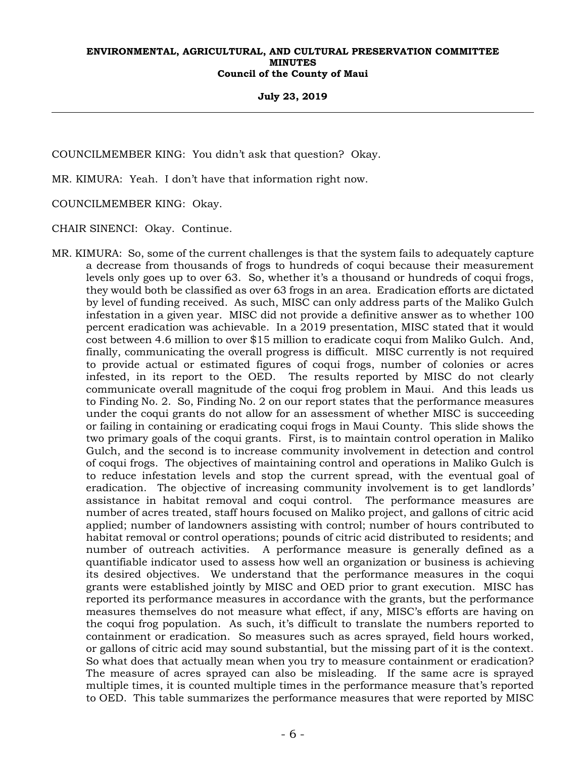#### **July 23, 2019**

COUNCILMEMBER KING: You didn't ask that question? Okay.

MR. KIMURA: Yeah. I don't have that information right now.

COUNCILMEMBER KING: Okay.

CHAIR SINENCI: Okay. Continue.

MR. KIMURA: So, some of the current challenges is that the system fails to adequately capture a decrease from thousands of frogs to hundreds of coqui because their measurement levels only goes up to over 63. So, whether it's a thousand or hundreds of coqui frogs, they would both be classified as over 63 frogs in an area. Eradication efforts are dictated by level of funding received. As such, MISC can only address parts of the Maliko Gulch infestation in a given year. MISC did not provide a definitive answer as to whether 100 percent eradication was achievable. In a 2019 presentation, MISC stated that it would cost between 4.6 million to over \$15 million to eradicate coqui from Maliko Gulch. And, finally, communicating the overall progress is difficult. MISC currently is not required to provide actual or estimated figures of coqui frogs, number of colonies or acres infested, in its report to the OED. The results reported by MISC do not clearly communicate overall magnitude of the coqui frog problem in Maui. And this leads us to Finding No. 2. So, Finding No. 2 on our report states that the performance measures under the coqui grants do not allow for an assessment of whether MISC is succeeding or failing in containing or eradicating coqui frogs in Maui County. This slide shows the two primary goals of the coqui grants. First, is to maintain control operation in Maliko Gulch, and the second is to increase community involvement in detection and control of coqui frogs. The objectives of maintaining control and operations in Maliko Gulch is to reduce infestation levels and stop the current spread, with the eventual goal of eradication. The objective of increasing community involvement is to get landlords' assistance in habitat removal and coqui control. The performance measures are number of acres treated, staff hours focused on Maliko project, and gallons of citric acid applied; number of landowners assisting with control; number of hours contributed to habitat removal or control operations; pounds of citric acid distributed to residents; and number of outreach activities. A performance measure is generally defined as a quantifiable indicator used to assess how well an organization or business is achieving its desired objectives. We understand that the performance measures in the coqui grants were established jointly by MISC and OED prior to grant execution. MISC has reported its performance measures in accordance with the grants, but the performance measures themselves do not measure what effect, if any, MISC's efforts are having on the coqui frog population. As such, it's difficult to translate the numbers reported to containment or eradication. So measures such as acres sprayed, field hours worked, or gallons of citric acid may sound substantial, but the missing part of it is the context. So what does that actually mean when you try to measure containment or eradication? The measure of acres sprayed can also be misleading. If the same acre is sprayed multiple times, it is counted multiple times in the performance measure that's reported to OED. This table summarizes the performance measures that were reported by MISC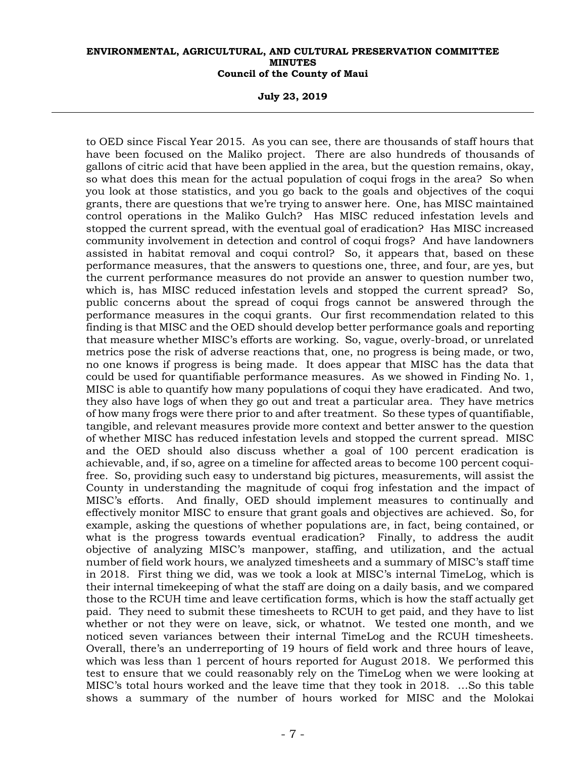**July 23, 2019** 

to OED since Fiscal Year 2015. As you can see, there are thousands of staff hours that have been focused on the Maliko project. There are also hundreds of thousands of gallons of citric acid that have been applied in the area, but the question remains, okay, so what does this mean for the actual population of coqui frogs in the area? So when you look at those statistics, and you go back to the goals and objectives of the coqui grants, there are questions that we're trying to answer here. One, has MISC maintained control operations in the Maliko Gulch? Has MISC reduced infestation levels and stopped the current spread, with the eventual goal of eradication? Has MISC increased community involvement in detection and control of coqui frogs? And have landowners assisted in habitat removal and coqui control? So, it appears that, based on these performance measures, that the answers to questions one, three, and four, are yes, but the current performance measures do not provide an answer to question number two, which is, has MISC reduced infestation levels and stopped the current spread? So, public concerns about the spread of coqui frogs cannot be answered through the performance measures in the coqui grants. Our first recommendation related to this finding is that MISC and the OED should develop better performance goals and reporting that measure whether MISC's efforts are working. So, vague, overly-broad, or unrelated metrics pose the risk of adverse reactions that, one, no progress is being made, or two, no one knows if progress is being made. It does appear that MISC has the data that could be used for quantifiable performance measures. As we showed in Finding No. 1, MISC is able to quantify how many populations of coqui they have eradicated. And two, they also have logs of when they go out and treat a particular area. They have metrics of how many frogs were there prior to and after treatment. So these types of quantifiable, tangible, and relevant measures provide more context and better answer to the question of whether MISC has reduced infestation levels and stopped the current spread. MISC and the OED should also discuss whether a goal of 100 percent eradication is achievable, and, if so, agree on a timeline for affected areas to become 100 percent coquifree. So, providing such easy to understand big pictures, measurements, will assist the County in understanding the magnitude of coqui frog infestation and the impact of MISC's efforts. And finally, OED should implement measures to continually and effectively monitor MISC to ensure that grant goals and objectives are achieved. So, for example, asking the questions of whether populations are, in fact, being contained, or what is the progress towards eventual eradication? Finally, to address the audit objective of analyzing MISC's manpower, staffing, and utilization, and the actual number of field work hours, we analyzed timesheets and a summary of MISC's staff time in 2018. First thing we did, was we took a look at MISC's internal TimeLog, which is their internal timekeeping of what the staff are doing on a daily basis, and we compared those to the RCUH time and leave certification forms, which is how the staff actually get paid. They need to submit these timesheets to RCUH to get paid, and they have to list whether or not they were on leave, sick, or whatnot. We tested one month, and we noticed seven variances between their internal TimeLog and the RCUH timesheets. Overall, there's an underreporting of 19 hours of field work and three hours of leave, which was less than 1 percent of hours reported for August 2018. We performed this test to ensure that we could reasonably rely on the TimeLog when we were looking at MISC's total hours worked and the leave time that they took in 2018. …So this table shows a summary of the number of hours worked for MISC and the Molokai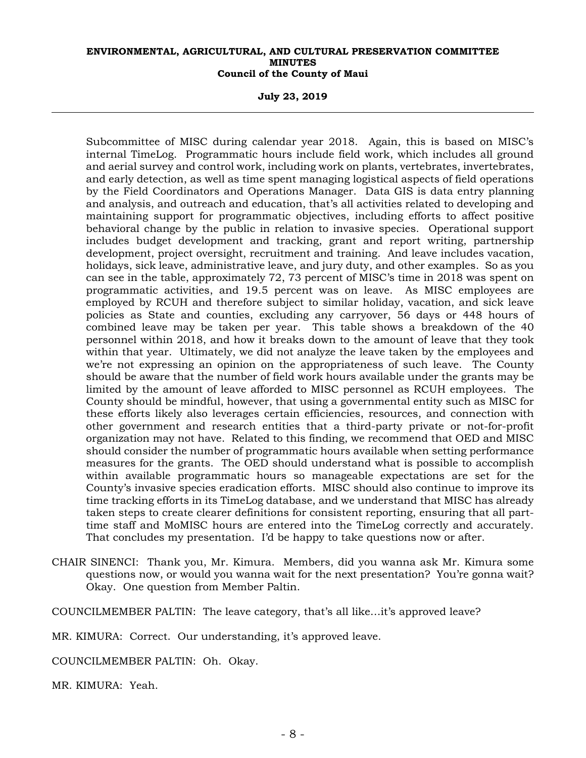**July 23, 2019** 

Subcommittee of MISC during calendar year 2018. Again, this is based on MISC's internal TimeLog. Programmatic hours include field work, which includes all ground and aerial survey and control work, including work on plants, vertebrates, invertebrates, and early detection, as well as time spent managing logistical aspects of field operations by the Field Coordinators and Operations Manager. Data GIS is data entry planning and analysis, and outreach and education, that's all activities related to developing and maintaining support for programmatic objectives, including efforts to affect positive behavioral change by the public in relation to invasive species. Operational support includes budget development and tracking, grant and report writing, partnership development, project oversight, recruitment and training. And leave includes vacation, holidays, sick leave, administrative leave, and jury duty, and other examples. So as you can see in the table, approximately 72, 73 percent of MISC's time in 2018 was spent on programmatic activities, and 19.5 percent was on leave. As MISC employees are employed by RCUH and therefore subject to similar holiday, vacation, and sick leave policies as State and counties, excluding any carryover, 56 days or 448 hours of combined leave may be taken per year. This table shows a breakdown of the 40 personnel within 2018, and how it breaks down to the amount of leave that they took within that year. Ultimately, we did not analyze the leave taken by the employees and we're not expressing an opinion on the appropriateness of such leave. The County should be aware that the number of field work hours available under the grants may be limited by the amount of leave afforded to MISC personnel as RCUH employees. The County should be mindful, however, that using a governmental entity such as MISC for these efforts likely also leverages certain efficiencies, resources, and connection with other government and research entities that a third-party private or not-for-profit organization may not have. Related to this finding, we recommend that OED and MISC should consider the number of programmatic hours available when setting performance measures for the grants. The OED should understand what is possible to accomplish within available programmatic hours so manageable expectations are set for the County's invasive species eradication efforts. MISC should also continue to improve its time tracking efforts in its TimeLog database, and we understand that MISC has already taken steps to create clearer definitions for consistent reporting, ensuring that all parttime staff and MoMISC hours are entered into the TimeLog correctly and accurately. That concludes my presentation. I'd be happy to take questions now or after.

CHAIR SINENCI: Thank you, Mr. Kimura. Members, did you wanna ask Mr. Kimura some questions now, or would you wanna wait for the next presentation? You're gonna wait? Okay. One question from Member Paltin.

COUNCILMEMBER PALTIN: The leave category, that's all like…it's approved leave?

MR. KIMURA: Correct. Our understanding, it's approved leave.

COUNCILMEMBER PALTIN: Oh. Okay.

MR. KIMURA: Yeah.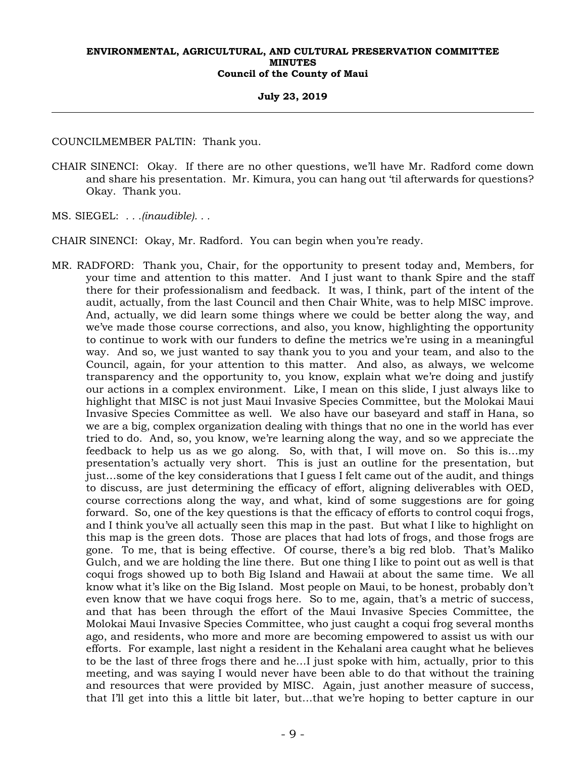#### **July 23, 2019**

COUNCILMEMBER PALTIN: Thank you.

CHAIR SINENCI: Okay. If there are no other questions, we'll have Mr. Radford come down and share his presentation. Mr. Kimura, you can hang out 'til afterwards for questions? Okay. Thank you.

MS. SIEGEL: *. . .(inaudible). . .* 

CHAIR SINENCI: Okay, Mr. Radford. You can begin when you're ready.

MR. RADFORD: Thank you, Chair, for the opportunity to present today and, Members, for your time and attention to this matter. And I just want to thank Spire and the staff there for their professionalism and feedback. It was, I think, part of the intent of the audit, actually, from the last Council and then Chair White, was to help MISC improve. And, actually, we did learn some things where we could be better along the way, and we've made those course corrections, and also, you know, highlighting the opportunity to continue to work with our funders to define the metrics we're using in a meaningful way. And so, we just wanted to say thank you to you and your team, and also to the Council, again, for your attention to this matter. And also, as always, we welcome transparency and the opportunity to, you know, explain what we're doing and justify our actions in a complex environment. Like, I mean on this slide, I just always like to highlight that MISC is not just Maui Invasive Species Committee, but the Molokai Maui Invasive Species Committee as well. We also have our baseyard and staff in Hana, so we are a big, complex organization dealing with things that no one in the world has ever tried to do. And, so, you know, we're learning along the way, and so we appreciate the feedback to help us as we go along. So, with that, I will move on. So this is…my presentation's actually very short. This is just an outline for the presentation, but just…some of the key considerations that I guess I felt came out of the audit, and things to discuss, are just determining the efficacy of effort, aligning deliverables with OED, course corrections along the way, and what, kind of some suggestions are for going forward. So, one of the key questions is that the efficacy of efforts to control coqui frogs, and I think you've all actually seen this map in the past. But what I like to highlight on this map is the green dots. Those are places that had lots of frogs, and those frogs are gone. To me, that is being effective. Of course, there's a big red blob. That's Maliko Gulch, and we are holding the line there. But one thing I like to point out as well is that coqui frogs showed up to both Big Island and Hawaii at about the same time. We all know what it's like on the Big Island. Most people on Maui, to be honest, probably don't even know that we have coqui frogs here. So to me, again, that's a metric of success, and that has been through the effort of the Maui Invasive Species Committee, the Molokai Maui Invasive Species Committee, who just caught a coqui frog several months ago, and residents, who more and more are becoming empowered to assist us with our efforts. For example, last night a resident in the Kehalani area caught what he believes to be the last of three frogs there and he…I just spoke with him, actually, prior to this meeting, and was saying I would never have been able to do that without the training and resources that were provided by MISC. Again, just another measure of success, that I'll get into this a little bit later, but…that we're hoping to better capture in our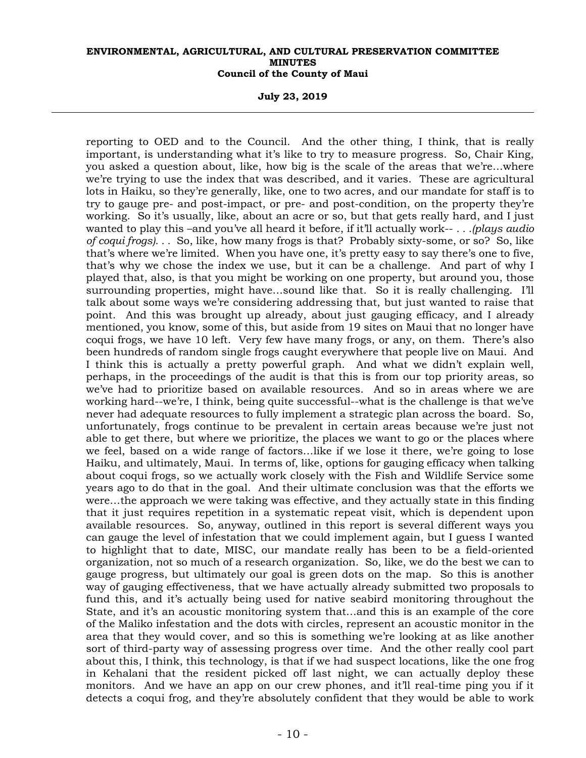**July 23, 2019** 

reporting to OED and to the Council. And the other thing, I think, that is really important, is understanding what it's like to try to measure progress. So, Chair King, you asked a question about, like, how big is the scale of the areas that we're…where we're trying to use the index that was described, and it varies. These are agricultural lots in Haiku, so they're generally, like, one to two acres, and our mandate for staff is to try to gauge pre- and post-impact, or pre- and post-condition, on the property they're working. So it's usually, like, about an acre or so, but that gets really hard, and I just wanted to play this –and you've all heard it before, if it'll actually work-- *. . .(plays audio of coqui frogs). . .* So, like, how many frogs is that? Probably sixty-some, or so? So, like that's where we're limited. When you have one, it's pretty easy to say there's one to five, that's why we chose the index we use, but it can be a challenge. And part of why I played that, also, is that you might be working on one property, but around you, those surrounding properties, might have…sound like that. So it is really challenging. I'll talk about some ways we're considering addressing that, but just wanted to raise that point. And this was brought up already, about just gauging efficacy, and I already mentioned, you know, some of this, but aside from 19 sites on Maui that no longer have coqui frogs, we have 10 left. Very few have many frogs, or any, on them. There's also been hundreds of random single frogs caught everywhere that people live on Maui. And I think this is actually a pretty powerful graph. And what we didn't explain well, perhaps, in the proceedings of the audit is that this is from our top priority areas, so we've had to prioritize based on available resources. And so in areas where we are working hard--we're, I think, being quite successful--what is the challenge is that we've never had adequate resources to fully implement a strategic plan across the board. So, unfortunately, frogs continue to be prevalent in certain areas because we're just not able to get there, but where we prioritize, the places we want to go or the places where we feel, based on a wide range of factors…like if we lose it there, we're going to lose Haiku, and ultimately, Maui. In terms of, like, options for gauging efficacy when talking about coqui frogs, so we actually work closely with the Fish and Wildlife Service some years ago to do that in the goal. And their ultimate conclusion was that the efforts we were…the approach we were taking was effective, and they actually state in this finding that it just requires repetition in a systematic repeat visit, which is dependent upon available resources. So, anyway, outlined in this report is several different ways you can gauge the level of infestation that we could implement again, but I guess I wanted to highlight that to date, MISC, our mandate really has been to be a field-oriented organization, not so much of a research organization. So, like, we do the best we can to gauge progress, but ultimately our goal is green dots on the map. So this is another way of gauging effectiveness, that we have actually already submitted two proposals to fund this, and it's actually being used for native seabird monitoring throughout the State, and it's an acoustic monitoring system that…and this is an example of the core of the Maliko infestation and the dots with circles, represent an acoustic monitor in the area that they would cover, and so this is something we're looking at as like another sort of third-party way of assessing progress over time. And the other really cool part about this, I think, this technology, is that if we had suspect locations, like the one frog in Kehalani that the resident picked off last night, we can actually deploy these monitors. And we have an app on our crew phones, and it'll real-time ping you if it detects a coqui frog, and they're absolutely confident that they would be able to work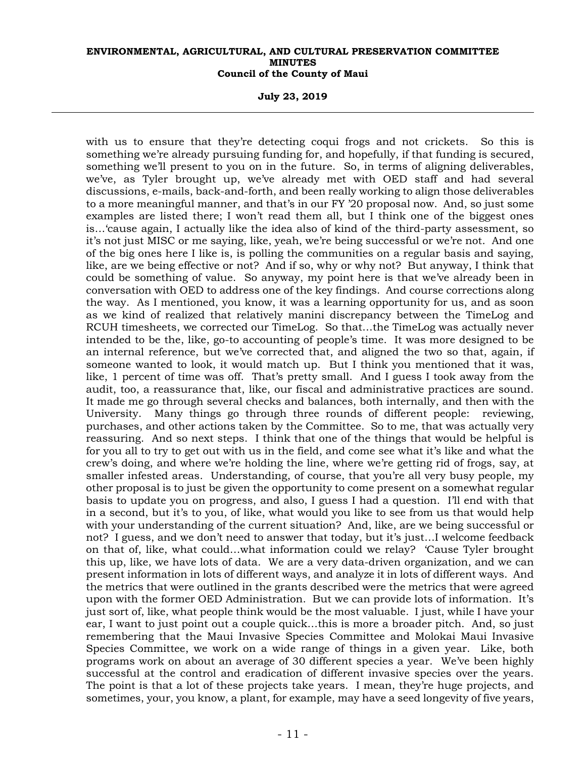**July 23, 2019** 

with us to ensure that they're detecting coqui frogs and not crickets. So this is something we're already pursuing funding for, and hopefully, if that funding is secured, something we'll present to you on in the future. So, in terms of aligning deliverables, we've, as Tyler brought up, we've already met with OED staff and had several discussions, e-mails, back-and-forth, and been really working to align those deliverables to a more meaningful manner, and that's in our FY '20 proposal now. And, so just some examples are listed there; I won't read them all, but I think one of the biggest ones is…'cause again, I actually like the idea also of kind of the third-party assessment, so it's not just MISC or me saying, like, yeah, we're being successful or we're not. And one of the big ones here I like is, is polling the communities on a regular basis and saying, like, are we being effective or not? And if so, why or why not? But anyway, I think that could be something of value. So anyway, my point here is that we've already been in conversation with OED to address one of the key findings. And course corrections along the way. As I mentioned, you know, it was a learning opportunity for us, and as soon as we kind of realized that relatively manini discrepancy between the TimeLog and RCUH timesheets, we corrected our TimeLog. So that…the TimeLog was actually never intended to be the, like, go-to accounting of people's time. It was more designed to be an internal reference, but we've corrected that, and aligned the two so that, again, if someone wanted to look, it would match up. But I think you mentioned that it was, like, 1 percent of time was off. That's pretty small. And I guess I took away from the audit, too, a reassurance that, like, our fiscal and administrative practices are sound. It made me go through several checks and balances, both internally, and then with the University. Many things go through three rounds of different people: reviewing, purchases, and other actions taken by the Committee. So to me, that was actually very reassuring. And so next steps. I think that one of the things that would be helpful is for you all to try to get out with us in the field, and come see what it's like and what the crew's doing, and where we're holding the line, where we're getting rid of frogs, say, at smaller infested areas. Understanding, of course, that you're all very busy people, my other proposal is to just be given the opportunity to come present on a somewhat regular basis to update you on progress, and also, I guess I had a question. I'll end with that in a second, but it's to you, of like, what would you like to see from us that would help with your understanding of the current situation? And, like, are we being successful or not? I guess, and we don't need to answer that today, but it's just…I welcome feedback on that of, like, what could…what information could we relay? 'Cause Tyler brought this up, like, we have lots of data. We are a very data-driven organization, and we can present information in lots of different ways, and analyze it in lots of different ways. And the metrics that were outlined in the grants described were the metrics that were agreed upon with the former OED Administration. But we can provide lots of information. It's just sort of, like, what people think would be the most valuable. I just, while I have your ear, I want to just point out a couple quick…this is more a broader pitch. And, so just remembering that the Maui Invasive Species Committee and Molokai Maui Invasive Species Committee, we work on a wide range of things in a given year. Like, both programs work on about an average of 30 different species a year. We've been highly successful at the control and eradication of different invasive species over the years. The point is that a lot of these projects take years. I mean, they're huge projects, and sometimes, your, you know, a plant, for example, may have a seed longevity of five years,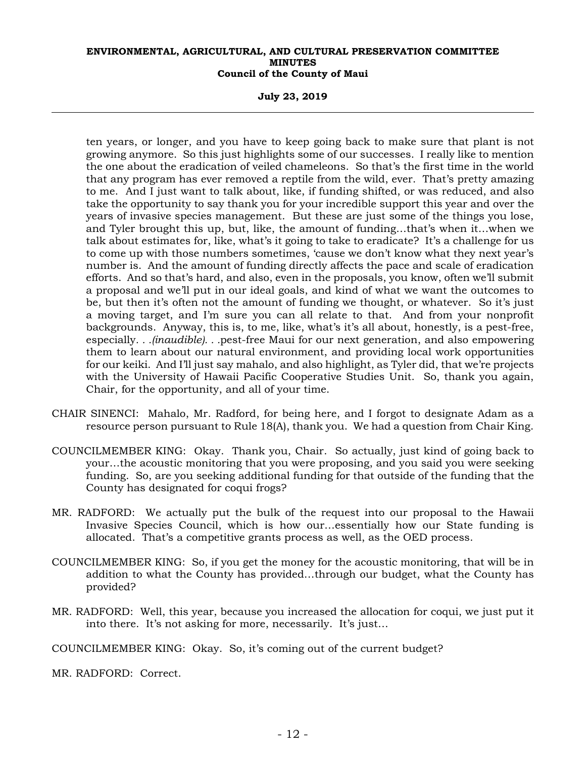**July 23, 2019** 

ten years, or longer, and you have to keep going back to make sure that plant is not growing anymore. So this just highlights some of our successes. I really like to mention the one about the eradication of veiled chameleons. So that's the first time in the world that any program has ever removed a reptile from the wild, ever. That's pretty amazing to me. And I just want to talk about, like, if funding shifted, or was reduced, and also take the opportunity to say thank you for your incredible support this year and over the years of invasive species management. But these are just some of the things you lose, and Tyler brought this up, but, like, the amount of funding…that's when it…when we talk about estimates for, like, what's it going to take to eradicate? It's a challenge for us to come up with those numbers sometimes, 'cause we don't know what they next year's number is. And the amount of funding directly affects the pace and scale of eradication efforts. And so that's hard, and also, even in the proposals, you know, often we'll submit a proposal and we'll put in our ideal goals, and kind of what we want the outcomes to be, but then it's often not the amount of funding we thought, or whatever. So it's just a moving target, and I'm sure you can all relate to that. And from your nonprofit backgrounds. Anyway, this is, to me, like, what's it's all about, honestly, is a pest-free, especially*. . .(inaudible). . .*pest-free Maui for our next generation, and also empowering them to learn about our natural environment, and providing local work opportunities for our keiki. And I'll just say mahalo, and also highlight, as Tyler did, that we're projects with the University of Hawaii Pacific Cooperative Studies Unit. So, thank you again, Chair, for the opportunity, and all of your time.

- CHAIR SINENCI: Mahalo, Mr. Radford, for being here, and I forgot to designate Adam as a resource person pursuant to Rule 18(A), thank you. We had a question from Chair King.
- COUNCILMEMBER KING: Okay. Thank you, Chair. So actually, just kind of going back to your…the acoustic monitoring that you were proposing, and you said you were seeking funding. So, are you seeking additional funding for that outside of the funding that the County has designated for coqui frogs?
- MR. RADFORD: We actually put the bulk of the request into our proposal to the Hawaii Invasive Species Council, which is how our…essentially how our State funding is allocated. That's a competitive grants process as well, as the OED process.
- COUNCILMEMBER KING: So, if you get the money for the acoustic monitoring, that will be in addition to what the County has provided…through our budget, what the County has provided?
- MR. RADFORD: Well, this year, because you increased the allocation for coqui, we just put it into there. It's not asking for more, necessarily. It's just…

COUNCILMEMBER KING: Okay. So, it's coming out of the current budget?

MR. RADFORD: Correct.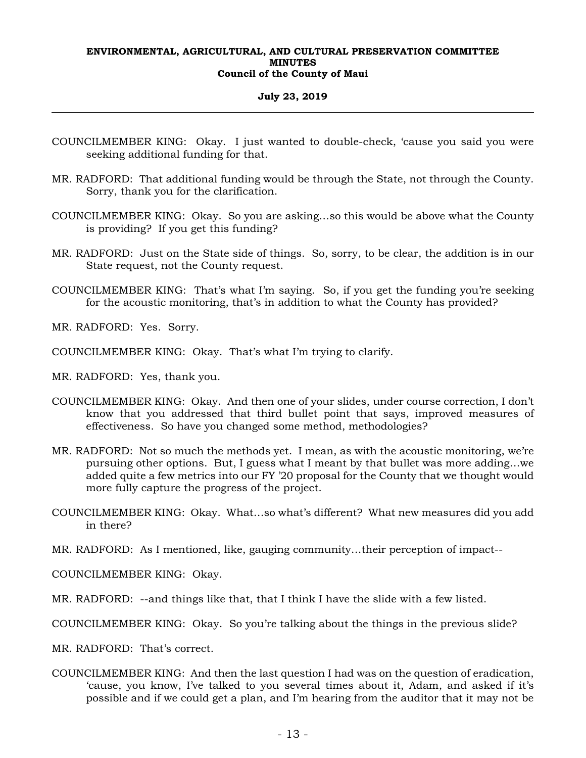#### **July 23, 2019**

- COUNCILMEMBER KING: Okay. I just wanted to double-check, 'cause you said you were seeking additional funding for that.
- MR. RADFORD: That additional funding would be through the State, not through the County. Sorry, thank you for the clarification.
- COUNCILMEMBER KING: Okay. So you are asking…so this would be above what the County is providing? If you get this funding?
- MR. RADFORD: Just on the State side of things. So, sorry, to be clear, the addition is in our State request, not the County request.
- COUNCILMEMBER KING: That's what I'm saying. So, if you get the funding you're seeking for the acoustic monitoring, that's in addition to what the County has provided?
- MR. RADFORD: Yes. Sorry.
- COUNCILMEMBER KING: Okay. That's what I'm trying to clarify.
- MR. RADFORD: Yes, thank you.
- COUNCILMEMBER KING: Okay. And then one of your slides, under course correction, I don't know that you addressed that third bullet point that says, improved measures of effectiveness. So have you changed some method, methodologies?
- MR. RADFORD: Not so much the methods yet. I mean, as with the acoustic monitoring, we're pursuing other options. But, I guess what I meant by that bullet was more adding…we added quite a few metrics into our FY '20 proposal for the County that we thought would more fully capture the progress of the project.
- COUNCILMEMBER KING: Okay. What…so what's different? What new measures did you add in there?
- MR. RADFORD: As I mentioned, like, gauging community…their perception of impact--

COUNCILMEMBER KING: Okay.

MR. RADFORD: --and things like that, that I think I have the slide with a few listed.

COUNCILMEMBER KING: Okay. So you're talking about the things in the previous slide?

MR. RADFORD: That's correct.

COUNCILMEMBER KING: And then the last question I had was on the question of eradication, 'cause, you know, I've talked to you several times about it, Adam, and asked if it's possible and if we could get a plan, and I'm hearing from the auditor that it may not be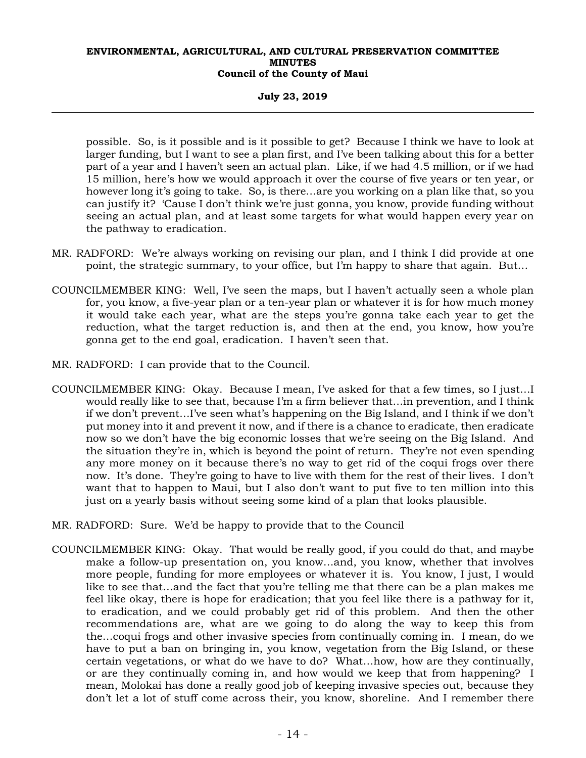#### **July 23, 2019**

possible. So, is it possible and is it possible to get? Because I think we have to look at larger funding, but I want to see a plan first, and I've been talking about this for a better part of a year and I haven't seen an actual plan. Like, if we had 4.5 million, or if we had 15 million, here's how we would approach it over the course of five years or ten year, or however long it's going to take. So, is there…are you working on a plan like that, so you can justify it? 'Cause I don't think we're just gonna, you know, provide funding without seeing an actual plan, and at least some targets for what would happen every year on the pathway to eradication.

- MR. RADFORD: We're always working on revising our plan, and I think I did provide at one point, the strategic summary, to your office, but I'm happy to share that again. But…
- COUNCILMEMBER KING: Well, I've seen the maps, but I haven't actually seen a whole plan for, you know, a five-year plan or a ten-year plan or whatever it is for how much money it would take each year, what are the steps you're gonna take each year to get the reduction, what the target reduction is, and then at the end, you know, how you're gonna get to the end goal, eradication. I haven't seen that.
- MR. RADFORD: I can provide that to the Council.
- COUNCILMEMBER KING: Okay. Because I mean, I've asked for that a few times, so I just…I would really like to see that, because I'm a firm believer that…in prevention, and I think if we don't prevent…I've seen what's happening on the Big Island, and I think if we don't put money into it and prevent it now, and if there is a chance to eradicate, then eradicate now so we don't have the big economic losses that we're seeing on the Big Island. And the situation they're in, which is beyond the point of return. They're not even spending any more money on it because there's no way to get rid of the coqui frogs over there now. It's done. They're going to have to live with them for the rest of their lives. I don't want that to happen to Maui, but I also don't want to put five to ten million into this just on a yearly basis without seeing some kind of a plan that looks plausible.
- MR. RADFORD: Sure. We'd be happy to provide that to the Council
- COUNCILMEMBER KING: Okay. That would be really good, if you could do that, and maybe make a follow-up presentation on, you know…and, you know, whether that involves more people, funding for more employees or whatever it is. You know, I just, I would like to see that…and the fact that you're telling me that there can be a plan makes me feel like okay, there is hope for eradication; that you feel like there is a pathway for it, to eradication, and we could probably get rid of this problem. And then the other recommendations are, what are we going to do along the way to keep this from the…coqui frogs and other invasive species from continually coming in. I mean, do we have to put a ban on bringing in, you know, vegetation from the Big Island, or these certain vegetations, or what do we have to do? What…how, how are they continually, or are they continually coming in, and how would we keep that from happening? I mean, Molokai has done a really good job of keeping invasive species out, because they don't let a lot of stuff come across their, you know, shoreline. And I remember there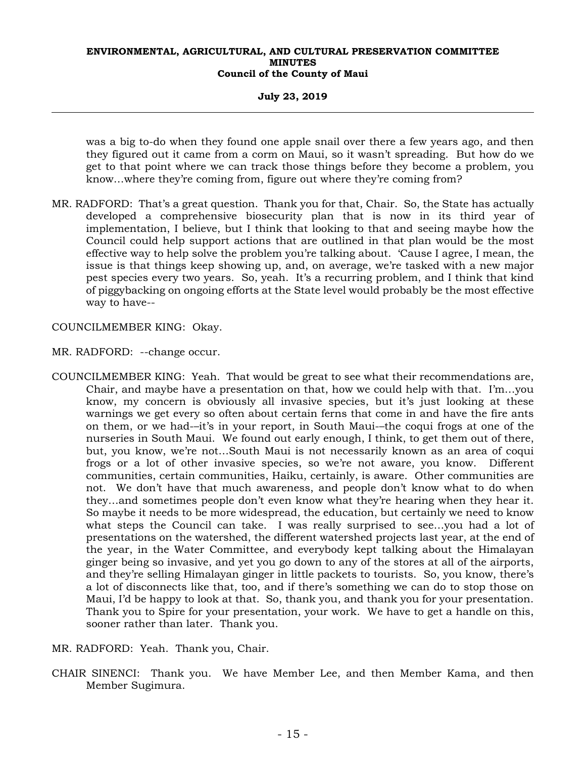**July 23, 2019** 

was a big to-do when they found one apple snail over there a few years ago, and then they figured out it came from a corm on Maui, so it wasn't spreading. But how do we get to that point where we can track those things before they become a problem, you know...where they're coming from, figure out where they're coming from?

MR. RADFORD: That's a great question. Thank you for that, Chair. So, the State has actually developed a comprehensive biosecurity plan that is now in its third year of implementation, I believe, but I think that looking to that and seeing maybe how the Council could help support actions that are outlined in that plan would be the most effective way to help solve the problem you're talking about. 'Cause I agree, I mean, the issue is that things keep showing up, and, on average, we're tasked with a new major pest species every two years. So, yeah. It's a recurring problem, and I think that kind of piggybacking on ongoing efforts at the State level would probably be the most effective way to have--

COUNCILMEMBER KING: Okay.

- MR. RADFORD: --change occur.
- COUNCILMEMBER KING: Yeah. That would be great to see what their recommendations are, Chair, and maybe have a presentation on that, how we could help with that. I'm…you know, my concern is obviously all invasive species, but it's just looking at these warnings we get every so often about certain ferns that come in and have the fire ants on them, or we had-–it's in your report, in South Maui-–the coqui frogs at one of the nurseries in South Maui. We found out early enough, I think, to get them out of there, but, you know, we're not…South Maui is not necessarily known as an area of coqui frogs or a lot of other invasive species, so we're not aware, you know. Different communities, certain communities, Haiku, certainly, is aware. Other communities are not. We don't have that much awareness, and people don't know what to do when they…and sometimes people don't even know what they're hearing when they hear it. So maybe it needs to be more widespread, the education, but certainly we need to know what steps the Council can take. I was really surprised to see…you had a lot of presentations on the watershed, the different watershed projects last year, at the end of the year, in the Water Committee, and everybody kept talking about the Himalayan ginger being so invasive, and yet you go down to any of the stores at all of the airports, and they're selling Himalayan ginger in little packets to tourists. So, you know, there's a lot of disconnects like that, too, and if there's something we can do to stop those on Maui, I'd be happy to look at that. So, thank you, and thank you for your presentation. Thank you to Spire for your presentation, your work. We have to get a handle on this, sooner rather than later. Thank you.

MR. RADFORD: Yeah. Thank you, Chair.

CHAIR SINENCI: Thank you. We have Member Lee, and then Member Kama, and then Member Sugimura.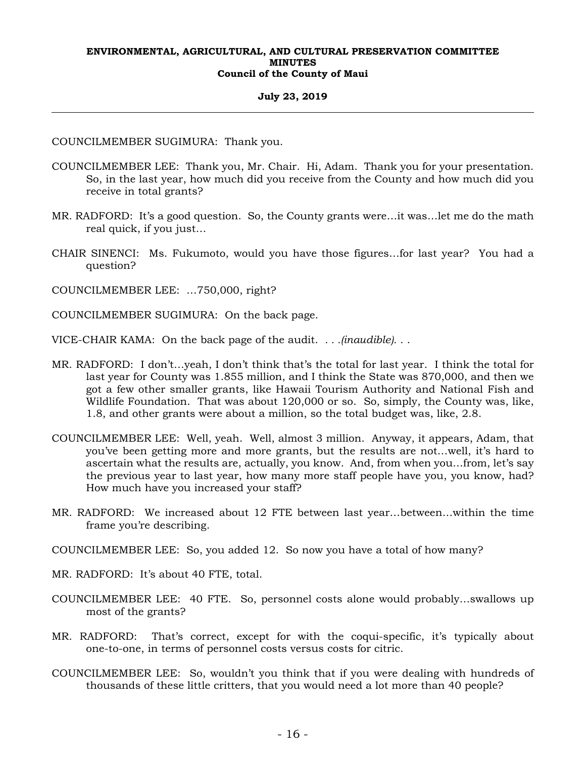#### **July 23, 2019**

COUNCILMEMBER SUGIMURA: Thank you.

- COUNCILMEMBER LEE: Thank you, Mr. Chair. Hi, Adam. Thank you for your presentation. So, in the last year, how much did you receive from the County and how much did you receive in total grants?
- MR. RADFORD: It's a good question. So, the County grants were…it was…let me do the math real quick, if you just…
- CHAIR SINENCI: Ms. Fukumoto, would you have those figures…for last year? You had a question?

COUNCILMEMBER LEE: …750,000, right?

COUNCILMEMBER SUGIMURA: On the back page.

VICE-CHAIR KAMA: On the back page of the audit. *. . .(inaudible).* . .

- MR. RADFORD: I don't…yeah, I don't think that's the total for last year. I think the total for last year for County was 1.855 million, and I think the State was 870,000, and then we got a few other smaller grants, like Hawaii Tourism Authority and National Fish and Wildlife Foundation. That was about 120,000 or so. So, simply, the County was, like, 1.8, and other grants were about a million, so the total budget was, like, 2.8.
- COUNCILMEMBER LEE: Well, yeah. Well, almost 3 million. Anyway, it appears, Adam, that you've been getting more and more grants, but the results are not…well, it's hard to ascertain what the results are, actually, you know. And, from when you…from, let's say the previous year to last year, how many more staff people have you, you know, had? How much have you increased your staff?
- MR. RADFORD: We increased about 12 FTE between last year…between…within the time frame you're describing.

COUNCILMEMBER LEE: So, you added 12. So now you have a total of how many?

- MR. RADFORD: It's about 40 FTE, total.
- COUNCILMEMBER LEE: 40 FTE. So, personnel costs alone would probably…swallows up most of the grants?
- MR. RADFORD: That's correct, except for with the coqui-specific, it's typically about one-to-one, in terms of personnel costs versus costs for citric.
- COUNCILMEMBER LEE: So, wouldn't you think that if you were dealing with hundreds of thousands of these little critters, that you would need a lot more than 40 people?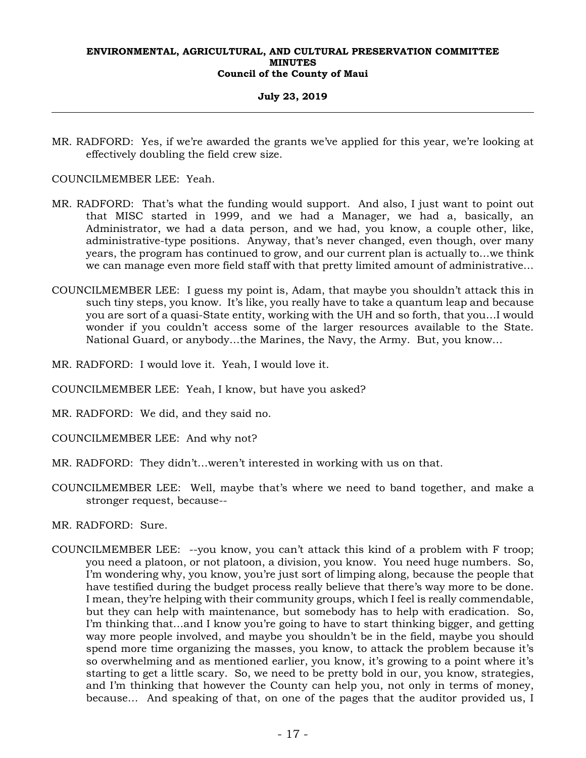#### **July 23, 2019**

MR. RADFORD: Yes, if we're awarded the grants we've applied for this year, we're looking at effectively doubling the field crew size.

COUNCILMEMBER LEE: Yeah.

- MR. RADFORD: That's what the funding would support. And also, I just want to point out that MISC started in 1999, and we had a Manager, we had a, basically, an Administrator, we had a data person, and we had, you know, a couple other, like, administrative-type positions. Anyway, that's never changed, even though, over many years, the program has continued to grow, and our current plan is actually to…we think we can manage even more field staff with that pretty limited amount of administrative…
- COUNCILMEMBER LEE: I guess my point is, Adam, that maybe you shouldn't attack this in such tiny steps, you know. It's like, you really have to take a quantum leap and because you are sort of a quasi-State entity, working with the UH and so forth, that you…I would wonder if you couldn't access some of the larger resources available to the State. National Guard, or anybody…the Marines, the Navy, the Army. But, you know…
- MR. RADFORD: I would love it. Yeah, I would love it.
- COUNCILMEMBER LEE: Yeah, I know, but have you asked?
- MR. RADFORD: We did, and they said no.
- COUNCILMEMBER LEE: And why not?
- MR. RADFORD: They didn't…weren't interested in working with us on that.
- COUNCILMEMBER LEE: Well, maybe that's where we need to band together, and make a stronger request, because--

MR. RADFORD: Sure.

COUNCILMEMBER LEE: --you know, you can't attack this kind of a problem with F troop; you need a platoon, or not platoon, a division, you know. You need huge numbers. So, I'm wondering why, you know, you're just sort of limping along, because the people that have testified during the budget process really believe that there's way more to be done. I mean, they're helping with their community groups, which I feel is really commendable, but they can help with maintenance, but somebody has to help with eradication. So, I'm thinking that…and I know you're going to have to start thinking bigger, and getting way more people involved, and maybe you shouldn't be in the field, maybe you should spend more time organizing the masses, you know, to attack the problem because it's so overwhelming and as mentioned earlier, you know, it's growing to a point where it's starting to get a little scary. So, we need to be pretty bold in our, you know, strategies, and I'm thinking that however the County can help you, not only in terms of money, because… And speaking of that, on one of the pages that the auditor provided us, I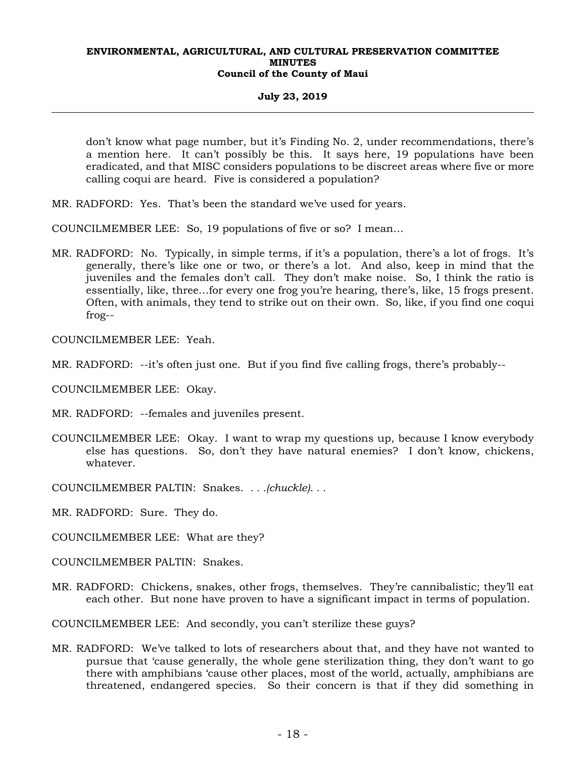#### **July 23, 2019**

don't know what page number, but it's Finding No. 2, under recommendations, there's a mention here. It can't possibly be this. It says here, 19 populations have been eradicated, and that MISC considers populations to be discreet areas where five or more calling coqui are heard. Five is considered a population?

MR. RADFORD: Yes. That's been the standard we've used for years.

COUNCILMEMBER LEE: So, 19 populations of five or so? I mean…

MR. RADFORD: No. Typically, in simple terms, if it's a population, there's a lot of frogs. It's generally, there's like one or two, or there's a lot. And also, keep in mind that the juveniles and the females don't call. They don't make noise. So, I think the ratio is essentially, like, three…for every one frog you're hearing, there's, like, 15 frogs present. Often, with animals, they tend to strike out on their own. So, like, if you find one coqui frog--

COUNCILMEMBER LEE: Yeah.

- MR. RADFORD: --it's often just one. But if you find five calling frogs, there's probably--
- COUNCILMEMBER LEE: Okay.
- MR. RADFORD: --females and juveniles present.
- COUNCILMEMBER LEE: Okay. I want to wrap my questions up, because I know everybody else has questions. So, don't they have natural enemies? I don't know, chickens, whatever.
- COUNCILMEMBER PALTIN: Snakes. *. . .(chuckle). . .*
- MR. RADFORD: Sure. They do.
- COUNCILMEMBER LEE: What are they?
- COUNCILMEMBER PALTIN: Snakes.
- MR. RADFORD: Chickens, snakes, other frogs, themselves. They're cannibalistic; they'll eat each other. But none have proven to have a significant impact in terms of population.
- COUNCILMEMBER LEE: And secondly, you can't sterilize these guys?
- MR. RADFORD: We've talked to lots of researchers about that, and they have not wanted to pursue that 'cause generally, the whole gene sterilization thing, they don't want to go there with amphibians 'cause other places, most of the world, actually, amphibians are threatened, endangered species. So their concern is that if they did something in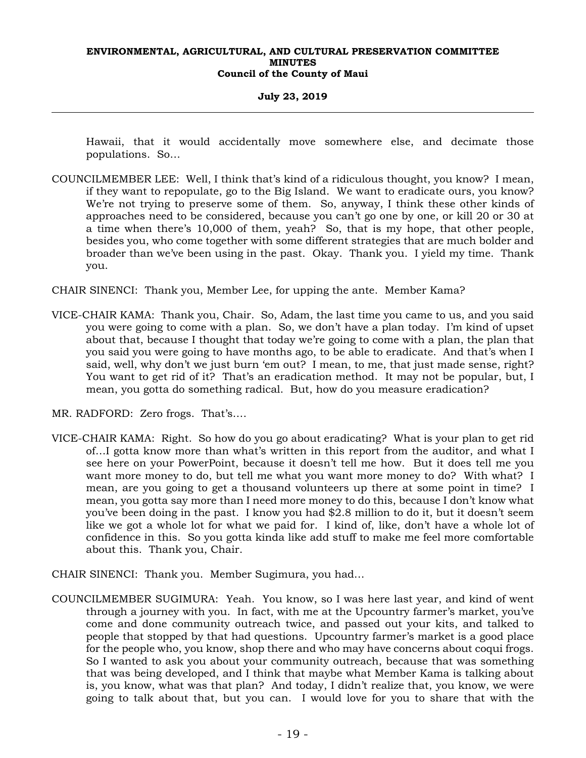#### **July 23, 2019**

Hawaii, that it would accidentally move somewhere else, and decimate those populations. So…

- COUNCILMEMBER LEE: Well, I think that's kind of a ridiculous thought, you know? I mean, if they want to repopulate, go to the Big Island. We want to eradicate ours, you know? We're not trying to preserve some of them. So, anyway, I think these other kinds of approaches need to be considered, because you can't go one by one, or kill 20 or 30 at a time when there's 10,000 of them, yeah? So, that is my hope, that other people, besides you, who come together with some different strategies that are much bolder and broader than we've been using in the past. Okay. Thank you. I yield my time. Thank you.
- CHAIR SINENCI: Thank you, Member Lee, for upping the ante. Member Kama?
- VICE-CHAIR KAMA: Thank you, Chair. So, Adam, the last time you came to us, and you said you were going to come with a plan. So, we don't have a plan today. I'm kind of upset about that, because I thought that today we're going to come with a plan, the plan that you said you were going to have months ago, to be able to eradicate. And that's when I said, well, why don't we just burn 'em out? I mean, to me, that just made sense, right? You want to get rid of it? That's an eradication method. It may not be popular, but, I mean, you gotta do something radical. But, how do you measure eradication?
- MR. RADFORD: Zero frogs. That's….
- VICE-CHAIR KAMA: Right. So how do you go about eradicating? What is your plan to get rid of…I gotta know more than what's written in this report from the auditor, and what I see here on your PowerPoint, because it doesn't tell me how. But it does tell me you want more money to do, but tell me what you want more money to do? With what? I mean, are you going to get a thousand volunteers up there at some point in time? I mean, you gotta say more than I need more money to do this, because I don't know what you've been doing in the past. I know you had \$2.8 million to do it, but it doesn't seem like we got a whole lot for what we paid for. I kind of, like, don't have a whole lot of confidence in this. So you gotta kinda like add stuff to make me feel more comfortable about this. Thank you, Chair.
- CHAIR SINENCI: Thank you. Member Sugimura, you had…
- COUNCILMEMBER SUGIMURA: Yeah. You know, so I was here last year, and kind of went through a journey with you. In fact, with me at the Upcountry farmer's market, you've come and done community outreach twice, and passed out your kits, and talked to people that stopped by that had questions. Upcountry farmer's market is a good place for the people who, you know, shop there and who may have concerns about coqui frogs. So I wanted to ask you about your community outreach, because that was something that was being developed, and I think that maybe what Member Kama is talking about is, you know, what was that plan? And today, I didn't realize that, you know, we were going to talk about that, but you can. I would love for you to share that with the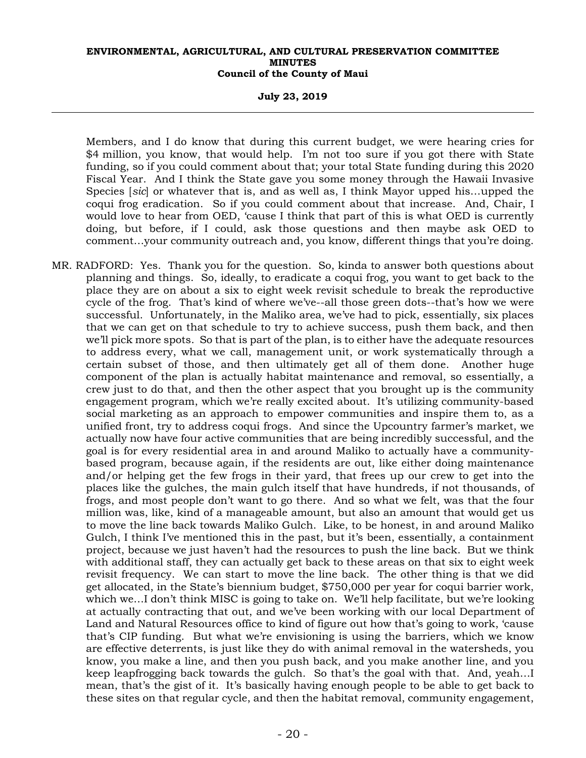**July 23, 2019** 

Members, and I do know that during this current budget, we were hearing cries for \$4 million, you know, that would help. I'm not too sure if you got there with State funding, so if you could comment about that; your total State funding during this 2020 Fiscal Year. And I think the State gave you some money through the Hawaii Invasive Species [*sic*] or whatever that is, and as well as, I think Mayor upped his…upped the coqui frog eradication. So if you could comment about that increase. And, Chair, I would love to hear from OED, 'cause I think that part of this is what OED is currently doing, but before, if I could, ask those questions and then maybe ask OED to comment…your community outreach and, you know, different things that you're doing.

MR. RADFORD: Yes. Thank you for the question. So, kinda to answer both questions about planning and things. So, ideally, to eradicate a coqui frog, you want to get back to the place they are on about a six to eight week revisit schedule to break the reproductive cycle of the frog. That's kind of where we've--all those green dots--that's how we were successful. Unfortunately, in the Maliko area, we've had to pick, essentially, six places that we can get on that schedule to try to achieve success, push them back, and then we'll pick more spots. So that is part of the plan, is to either have the adequate resources to address every, what we call, management unit, or work systematically through a certain subset of those, and then ultimately get all of them done. Another huge component of the plan is actually habitat maintenance and removal, so essentially, a crew just to do that, and then the other aspect that you brought up is the community engagement program, which we're really excited about. It's utilizing community-based social marketing as an approach to empower communities and inspire them to, as a unified front, try to address coqui frogs. And since the Upcountry farmer's market, we actually now have four active communities that are being incredibly successful, and the goal is for every residential area in and around Maliko to actually have a communitybased program, because again, if the residents are out, like either doing maintenance and/or helping get the few frogs in their yard, that frees up our crew to get into the places like the gulches, the main gulch itself that have hundreds, if not thousands, of frogs, and most people don't want to go there. And so what we felt, was that the four million was, like, kind of a manageable amount, but also an amount that would get us to move the line back towards Maliko Gulch. Like, to be honest, in and around Maliko Gulch, I think I've mentioned this in the past, but it's been, essentially, a containment project, because we just haven't had the resources to push the line back. But we think with additional staff, they can actually get back to these areas on that six to eight week revisit frequency. We can start to move the line back. The other thing is that we did get allocated, in the State's biennium budget, \$750,000 per year for coqui barrier work, which we…I don't think MISC is going to take on. We'll help facilitate, but we're looking at actually contracting that out, and we've been working with our local Department of Land and Natural Resources office to kind of figure out how that's going to work, 'cause that's CIP funding. But what we're envisioning is using the barriers, which we know are effective deterrents, is just like they do with animal removal in the watersheds, you know, you make a line, and then you push back, and you make another line, and you keep leapfrogging back towards the gulch. So that's the goal with that. And, yeah…I mean, that's the gist of it. It's basically having enough people to be able to get back to these sites on that regular cycle, and then the habitat removal, community engagement,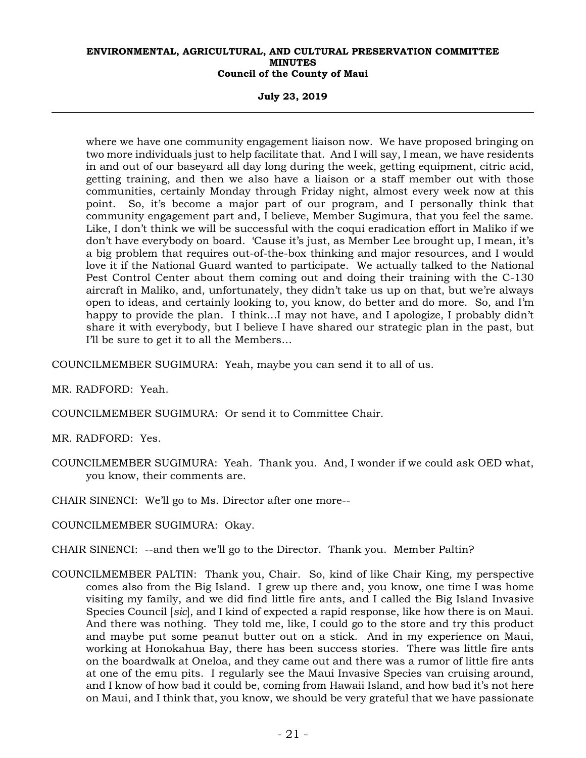**July 23, 2019** 

where we have one community engagement liaison now. We have proposed bringing on two more individuals just to help facilitate that. And I will say, I mean, we have residents in and out of our baseyard all day long during the week, getting equipment, citric acid, getting training, and then we also have a liaison or a staff member out with those communities, certainly Monday through Friday night, almost every week now at this point. So, it's become a major part of our program, and I personally think that community engagement part and, I believe, Member Sugimura, that you feel the same. Like, I don't think we will be successful with the coqui eradication effort in Maliko if we don't have everybody on board. 'Cause it's just, as Member Lee brought up, I mean, it's a big problem that requires out-of-the-box thinking and major resources, and I would love it if the National Guard wanted to participate. We actually talked to the National Pest Control Center about them coming out and doing their training with the C-130 aircraft in Maliko, and, unfortunately, they didn't take us up on that, but we're always open to ideas, and certainly looking to, you know, do better and do more. So, and I'm happy to provide the plan. I think...I may not have, and I apologize, I probably didn't share it with everybody, but I believe I have shared our strategic plan in the past, but I'll be sure to get it to all the Members…

COUNCILMEMBER SUGIMURA: Yeah, maybe you can send it to all of us.

MR. RADFORD: Yeah.

COUNCILMEMBER SUGIMURA: Or send it to Committee Chair.

MR. RADFORD: Yes.

- COUNCILMEMBER SUGIMURA: Yeah. Thank you. And, I wonder if we could ask OED what, you know, their comments are.
- CHAIR SINENCI: We'll go to Ms. Director after one more--
- COUNCILMEMBER SUGIMURA: Okay.
- CHAIR SINENCI: --and then we'll go to the Director. Thank you. Member Paltin?
- COUNCILMEMBER PALTIN: Thank you, Chair. So, kind of like Chair King, my perspective comes also from the Big Island. I grew up there and, you know, one time I was home visiting my family, and we did find little fire ants, and I called the Big Island Invasive Species Council [*sic*], and I kind of expected a rapid response, like how there is on Maui. And there was nothing. They told me, like, I could go to the store and try this product and maybe put some peanut butter out on a stick. And in my experience on Maui, working at Honokahua Bay, there has been success stories. There was little fire ants on the boardwalk at Oneloa, and they came out and there was a rumor of little fire ants at one of the emu pits. I regularly see the Maui Invasive Species van cruising around, and I know of how bad it could be, coming from Hawaii Island, and how bad it's not here on Maui, and I think that, you know, we should be very grateful that we have passionate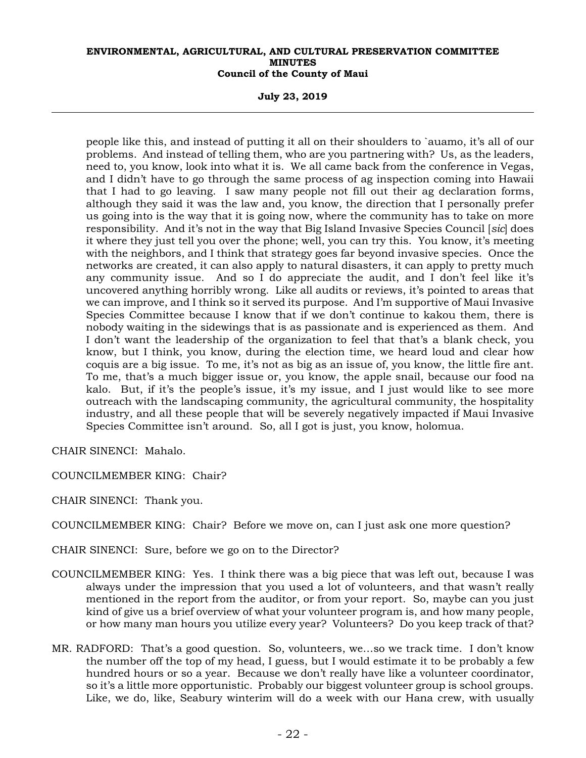**July 23, 2019** 

people like this, and instead of putting it all on their shoulders to `auamo, it's all of our problems. And instead of telling them, who are you partnering with? Us, as the leaders, need to, you know, look into what it is. We all came back from the conference in Vegas, and I didn't have to go through the same process of ag inspection coming into Hawaii that I had to go leaving. I saw many people not fill out their ag declaration forms, although they said it was the law and, you know, the direction that I personally prefer us going into is the way that it is going now, where the community has to take on more responsibility. And it's not in the way that Big Island Invasive Species Council [*sic*] does it where they just tell you over the phone; well, you can try this. You know, it's meeting with the neighbors, and I think that strategy goes far beyond invasive species. Once the networks are created, it can also apply to natural disasters, it can apply to pretty much any community issue. And so I do appreciate the audit, and I don't feel like it's uncovered anything horribly wrong. Like all audits or reviews, it's pointed to areas that we can improve, and I think so it served its purpose. And I'm supportive of Maui Invasive Species Committee because I know that if we don't continue to kakou them, there is nobody waiting in the sidewings that is as passionate and is experienced as them. And I don't want the leadership of the organization to feel that that's a blank check, you know, but I think, you know, during the election time, we heard loud and clear how coquis are a big issue. To me, it's not as big as an issue of, you know, the little fire ant. To me, that's a much bigger issue or, you know, the apple snail, because our food na kalo. But, if it's the people's issue, it's my issue, and I just would like to see more outreach with the landscaping community, the agricultural community, the hospitality industry, and all these people that will be severely negatively impacted if Maui Invasive Species Committee isn't around. So, all I got is just, you know, holomua.

CHAIR SINENCI: Mahalo.

COUNCILMEMBER KING: Chair?

CHAIR SINENCI: Thank you.

COUNCILMEMBER KING: Chair? Before we move on, can I just ask one more question?

CHAIR SINENCI: Sure, before we go on to the Director?

- COUNCILMEMBER KING: Yes. I think there was a big piece that was left out, because I was always under the impression that you used a lot of volunteers, and that wasn't really mentioned in the report from the auditor, or from your report. So, maybe can you just kind of give us a brief overview of what your volunteer program is, and how many people, or how many man hours you utilize every year? Volunteers? Do you keep track of that?
- MR. RADFORD: That's a good question. So, volunteers, we…so we track time. I don't know the number off the top of my head, I guess, but I would estimate it to be probably a few hundred hours or so a year. Because we don't really have like a volunteer coordinator, so it's a little more opportunistic. Probably our biggest volunteer group is school groups. Like, we do, like, Seabury winterim will do a week with our Hana crew, with usually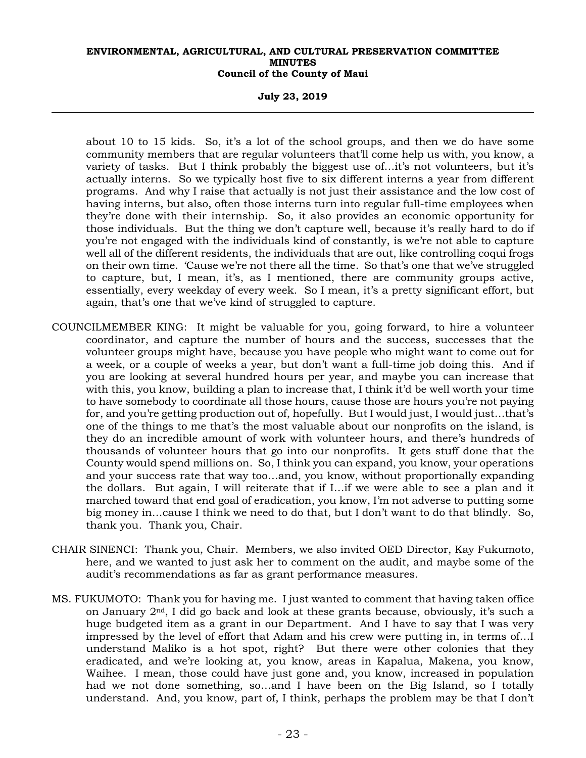#### **July 23, 2019**

about 10 to 15 kids. So, it's a lot of the school groups, and then we do have some community members that are regular volunteers that'll come help us with, you know, a variety of tasks. But I think probably the biggest use of...it's not volunteers, but it's actually interns. So we typically host five to six different interns a year from different programs. And why I raise that actually is not just their assistance and the low cost of having interns, but also, often those interns turn into regular full-time employees when they're done with their internship. So, it also provides an economic opportunity for those individuals. But the thing we don't capture well, because it's really hard to do if you're not engaged with the individuals kind of constantly, is we're not able to capture well all of the different residents, the individuals that are out, like controlling coqui frogs on their own time. 'Cause we're not there all the time. So that's one that we've struggled to capture, but, I mean, it's, as I mentioned, there are community groups active, essentially, every weekday of every week. So I mean, it's a pretty significant effort, but again, that's one that we've kind of struggled to capture.

- COUNCILMEMBER KING: It might be valuable for you, going forward, to hire a volunteer coordinator, and capture the number of hours and the success, successes that the volunteer groups might have, because you have people who might want to come out for a week, or a couple of weeks a year, but don't want a full-time job doing this. And if you are looking at several hundred hours per year, and maybe you can increase that with this, you know, building a plan to increase that, I think it'd be well worth your time to have somebody to coordinate all those hours, cause those are hours you're not paying for, and you're getting production out of, hopefully. But I would just, I would just…that's one of the things to me that's the most valuable about our nonprofits on the island, is they do an incredible amount of work with volunteer hours, and there's hundreds of thousands of volunteer hours that go into our nonprofits. It gets stuff done that the County would spend millions on. So, I think you can expand, you know, your operations and your success rate that way too…and, you know, without proportionally expanding the dollars. But again, I will reiterate that if I…if we were able to see a plan and it marched toward that end goal of eradication, you know, I'm not adverse to putting some big money in…cause I think we need to do that, but I don't want to do that blindly. So, thank you. Thank you, Chair.
- CHAIR SINENCI: Thank you, Chair. Members, we also invited OED Director, Kay Fukumoto, here, and we wanted to just ask her to comment on the audit, and maybe some of the audit's recommendations as far as grant performance measures.
- MS. FUKUMOTO: Thank you for having me. I just wanted to comment that having taken office on January 2nd, I did go back and look at these grants because, obviously, it's such a huge budgeted item as a grant in our Department. And I have to say that I was very impressed by the level of effort that Adam and his crew were putting in, in terms of…I understand Maliko is a hot spot, right? But there were other colonies that they eradicated, and we're looking at, you know, areas in Kapalua, Makena, you know, Waihee. I mean, those could have just gone and, you know, increased in population had we not done something, so…and I have been on the Big Island, so I totally understand. And, you know, part of, I think, perhaps the problem may be that I don't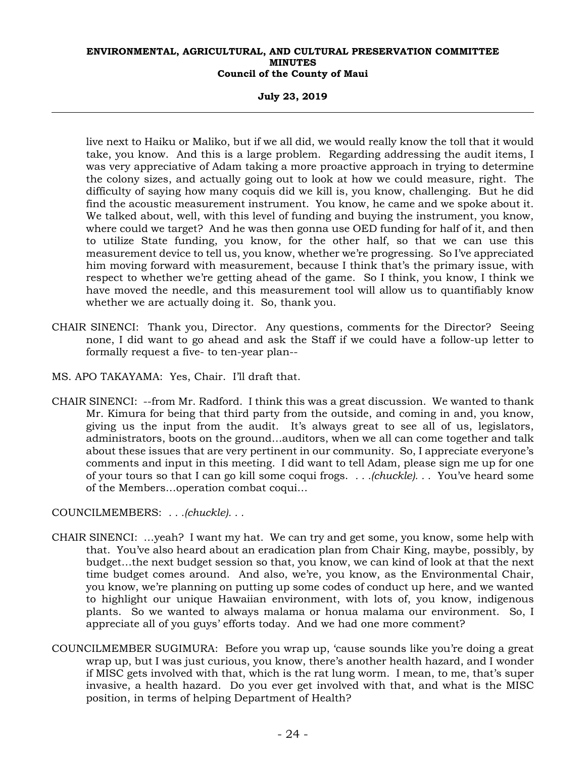**July 23, 2019** 

live next to Haiku or Maliko, but if we all did, we would really know the toll that it would take, you know. And this is a large problem. Regarding addressing the audit items, I was very appreciative of Adam taking a more proactive approach in trying to determine the colony sizes, and actually going out to look at how we could measure, right. The difficulty of saying how many coquis did we kill is, you know, challenging. But he did find the acoustic measurement instrument. You know, he came and we spoke about it. We talked about, well, with this level of funding and buying the instrument, you know, where could we target? And he was then gonna use OED funding for half of it, and then to utilize State funding, you know, for the other half, so that we can use this measurement device to tell us, you know, whether we're progressing. So I've appreciated him moving forward with measurement, because I think that's the primary issue, with respect to whether we're getting ahead of the game. So I think, you know, I think we have moved the needle, and this measurement tool will allow us to quantifiably know whether we are actually doing it. So, thank you.

- CHAIR SINENCI: Thank you, Director. Any questions, comments for the Director? Seeing none, I did want to go ahead and ask the Staff if we could have a follow-up letter to formally request a five- to ten-year plan--
- MS. APO TAKAYAMA: Yes, Chair. I'll draft that.
- CHAIR SINENCI: --from Mr. Radford. I think this was a great discussion. We wanted to thank Mr. Kimura for being that third party from the outside, and coming in and, you know, giving us the input from the audit. It's always great to see all of us, legislators, administrators, boots on the ground…auditors, when we all can come together and talk about these issues that are very pertinent in our community. So, I appreciate everyone's comments and input in this meeting. I did want to tell Adam, please sign me up for one of your tours so that I can go kill some coqui frogs. *. . .(chuckle). . .* You've heard some of the Members…operation combat coqui…

COUNCILMEMBERS: *. . .(chuckle). . .*

- CHAIR SINENCI: …yeah? I want my hat. We can try and get some, you know, some help with that. You've also heard about an eradication plan from Chair King, maybe, possibly, by budget…the next budget session so that, you know, we can kind of look at that the next time budget comes around. And also, we're, you know, as the Environmental Chair, you know, we're planning on putting up some codes of conduct up here, and we wanted to highlight our unique Hawaiian environment, with lots of, you know, indigenous plants. So we wanted to always malama or honua malama our environment. So, I appreciate all of you guys' efforts today. And we had one more comment?
- COUNCILMEMBER SUGIMURA: Before you wrap up, 'cause sounds like you're doing a great wrap up, but I was just curious, you know, there's another health hazard, and I wonder if MISC gets involved with that, which is the rat lung worm. I mean, to me, that's super invasive, a health hazard. Do you ever get involved with that, and what is the MISC position, in terms of helping Department of Health?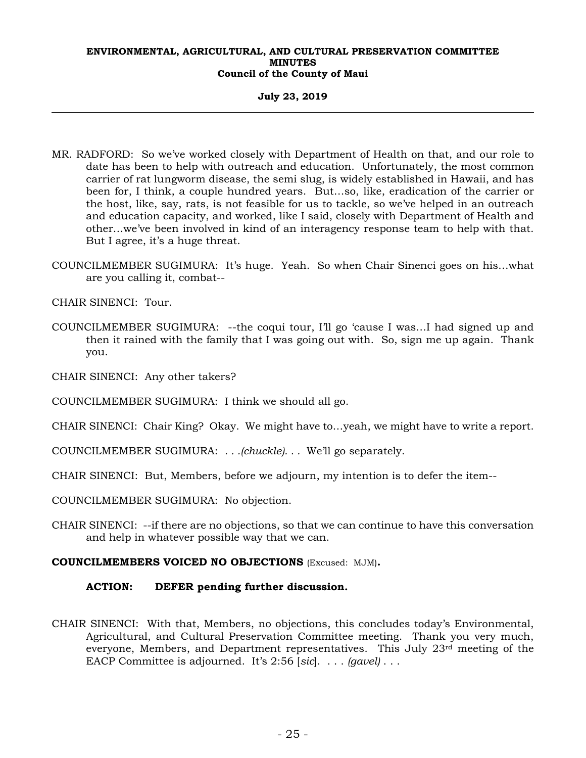**July 23, 2019** 

- MR. RADFORD: So we've worked closely with Department of Health on that, and our role to date has been to help with outreach and education. Unfortunately, the most common carrier of rat lungworm disease, the semi slug, is widely established in Hawaii, and has been for, I think, a couple hundred years. But…so, like, eradication of the carrier or the host, like, say, rats, is not feasible for us to tackle, so we've helped in an outreach and education capacity, and worked, like I said, closely with Department of Health and other…we've been involved in kind of an interagency response team to help with that. But I agree, it's a huge threat.
- COUNCILMEMBER SUGIMURA: It's huge. Yeah. So when Chair Sinenci goes on his…what are you calling it, combat--

CHAIR SINENCI: Tour.

- COUNCILMEMBER SUGIMURA: --the coqui tour, I'll go 'cause I was…I had signed up and then it rained with the family that I was going out with. So, sign me up again. Thank you.
- CHAIR SINENCI: Any other takers?
- COUNCILMEMBER SUGIMURA: I think we should all go.
- CHAIR SINENCI: Chair King? Okay. We might have to…yeah, we might have to write a report.
- COUNCILMEMBER SUGIMURA: *. . .(chuckle). . .* We'll go separately.
- CHAIR SINENCI: But, Members, before we adjourn, my intention is to defer the item--
- COUNCILMEMBER SUGIMURA: No objection.
- CHAIR SINENCI: --if there are no objections, so that we can continue to have this conversation and help in whatever possible way that we can.

#### **COUNCILMEMBERS VOICED NO OBJECTIONS** (Excused: MJM)**.**

#### **ACTION: DEFER pending further discussion.**

CHAIR SINENCI: With that, Members, no objections, this concludes today's Environmental, Agricultural, and Cultural Preservation Committee meeting. Thank you very much, everyone, Members, and Department representatives. This July 23rd meeting of the EACP Committee is adjourned. It's 2:56 [*sic*]. . . . *(gavel)* . . .